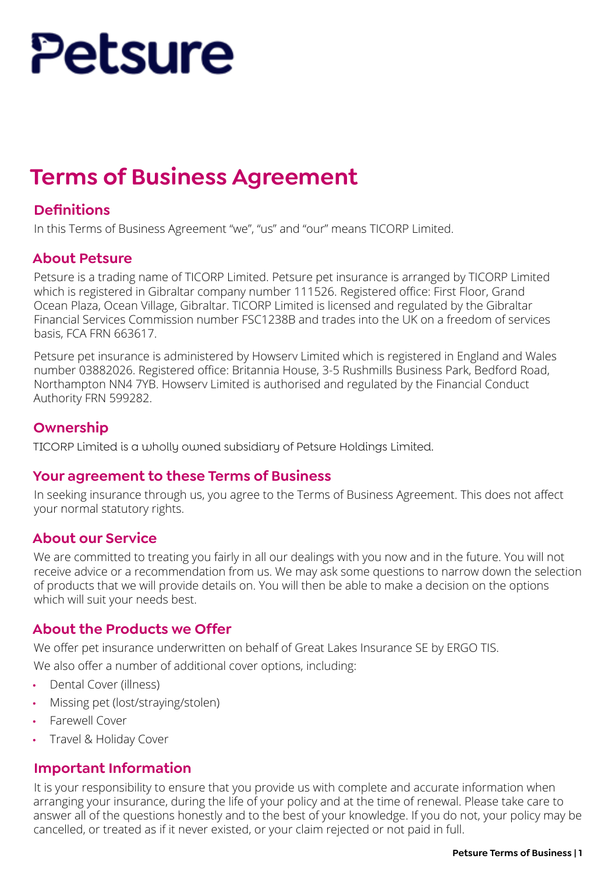# Petsure

# **Terms of Business Agreement**

## **Definitions**

In this Terms of Business Agreement "we", "us" and "our" means TICORP Limited.

#### **About Petsure**

Petsure is a trading name of TICORP Limited. Petsure pet insurance is arranged by TICORP Limited which is registered in Gibraltar company number 111526. Registered office: First Floor, Grand Ocean Plaza, Ocean Village, Gibraltar. TICORP Limited is licensed and regulated by the Gibraltar Financial Services Commission number FSC1238B and trades into the UK on a freedom of services basis, FCA FRN 663617.

Petsure pet insurance is administered by Howserv Limited which is registered in England and Wales number 03882026. Registered office: Britannia House, 3-5 Rushmills Business Park, Bedford Road, Northampton NN4 7YB. Howserv Limited is authorised and regulated by the Financial Conduct Authority FRN 599282.

#### **Ownership**

TICORP Limited is a wholly owned subsidiary of Petsure Holdings Limited.

#### **Your agreement to these Terms of Business**

In seeking insurance through us, you agree to the Terms of Business Agreement. This does not affect your normal statutory rights.

#### **About our Service**

We are committed to treating you fairly in all our dealings with you now and in the future. You will not receive advice or a recommendation from us. We may ask some questions to narrow down the selection of products that we will provide details on. You will then be able to make a decision on the options which will suit your needs best.

#### **About the Products we Offer**

We offer pet insurance underwritten on behalf of Great Lakes Insurance SE by ERGO TIS.

We also offer a number of additional cover options, including:

- Dental Cover (illness)
- Missing pet (lost/straying/stolen)
- Farewell Cover
- Travel & Holiday Cover

#### **Important Information**

It is your responsibility to ensure that you provide us with complete and accurate information when arranging your insurance, during the life of your policy and at the time of renewal. Please take care to answer all of the questions honestly and to the best of your knowledge. If you do not, your policy may be cancelled, or treated as if it never existed, or your claim rejected or not paid in full.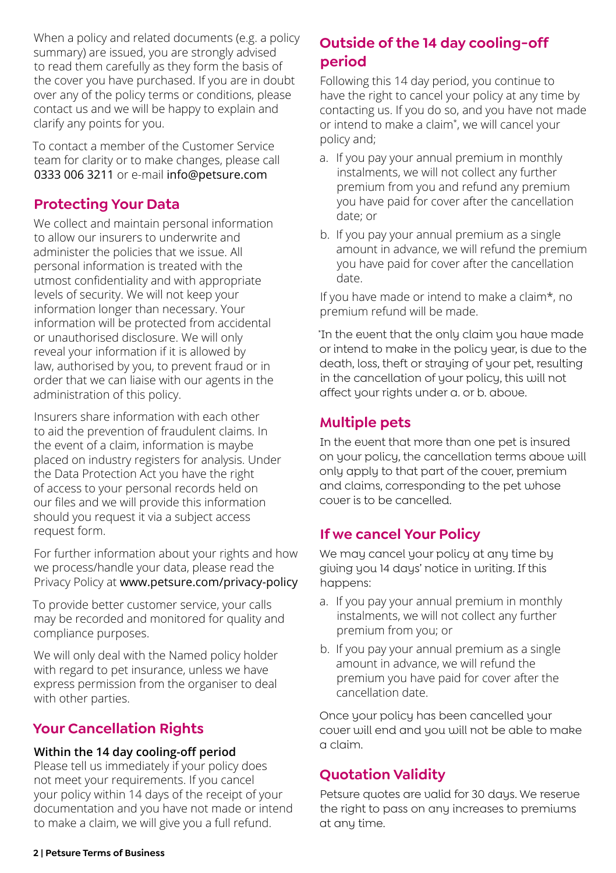When a policy and related documents (e.g. a policy summary) are issued, you are strongly advised to read them carefully as they form the basis of the cover you have purchased. If you are in doubt over any of the policy terms or conditions, please contact us and we will be happy to explain and clarify any points for you.

To contact a member of the Customer Service team for clarity or to make changes, please call 0333 006 3211 or e-mail info@petsure.com

## **Protecting Your Data**

We collect and maintain personal information to allow our insurers to underwrite and administer the policies that we issue. All personal information is treated with the utmost confidentiality and with appropriate levels of security. We will not keep your information longer than necessary. Your information will be protected from accidental or unauthorised disclosure. We will only reveal your information if it is allowed by law, authorised by you, to prevent fraud or in order that we can liaise with our agents in the administration of this policy.

Insurers share information with each other to aid the prevention of fraudulent claims. In the event of a claim, information is maybe placed on industry registers for analysis. Under the Data Protection Act you have the right of access to your personal records held on our files and we will provide this information should you request it via a subject access request form.

For further information about your rights and how we process/handle your data, please read the Privacy Policy at www.petsure.com/privacy-policy

To provide better customer service, your calls may be recorded and monitored for quality and compliance purposes.

We will only deal with the Named policy holder with regard to pet insurance, unless we have express permission from the organiser to deal with other parties.

# **Your Cancellation Rights**

#### **Within the 14 day cooling-off period**

Please tell us immediately if your policy does not meet your requirements. If you cancel your policy within 14 days of the receipt of your documentation and you have not made or intend to make a claim, we will give you a full refund.

# **Outside of the 14 day cooling-off period**

Following this 14 day period, you continue to have the right to cancel your policy at any time by contacting us. If you do so, and you have not made or intend to make a claim\* , we will cancel your policy and;

- a. If you pay your annual premium in monthly instalments, we will not collect any further premium from you and refund any premium you have paid for cover after the cancellation date; or
- b. If you pay your annual premium as a single amount in advance, we will refund the premium you have paid for cover after the cancellation date.

If you have made or intend to make a claim\*, no premium refund will be made.

\* In the event that the only claim you have made or intend to make in the policy year, is due to the death, loss, theft or straying of your pet, resulting in the cancellation of your policy, this will not affect your rights under a. or b. above.

# **Multiple pets**

In the event that more than one pet is insured on your policy, the cancellation terms above will only apply to that part of the cover, premium and claims, corresponding to the pet whose cover is to be cancelled.

# **If we cancel Your Policy**

We may cancel your policy at any time by giving you 14 days' notice in writing. If this happens:

- a. If you pay your annual premium in monthly instalments, we will not collect any further premium from you; or
- b. If you pay your annual premium as a single amount in advance, we will refund the premium you have paid for cover after the cancellation date.

Once your policy has been cancelled your cover will end and you will not be able to make a claim.

# **Quotation Validity**

Petsure quotes are valid for 30 days. We reserve the right to pass on any increases to premiums at any time.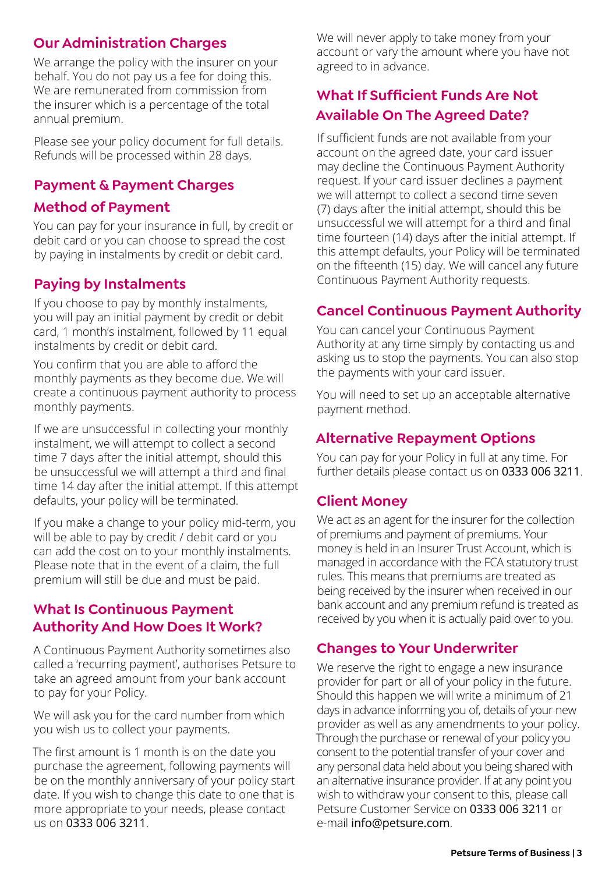### **Our Administration Charges**

We arrange the policy with the insurer on your behalf. You do not pay us a fee for doing this. We are remunerated from commission from the insurer which is a percentage of the total annual premium.

Please see your policy document for full details. Refunds will be processed within 28 days.

#### **Payment & Payment Charges**

#### **Method of Payment**

You can pay for your insurance in full, by credit or debit card or you can choose to spread the cost by paying in instalments by credit or debit card.

# **Paying by Instalments**

If you choose to pay by monthly instalments, you will pay an initial payment by credit or debit card, 1 month's instalment, followed by 11 equal instalments by credit or debit card.

You confirm that you are able to afford the monthly payments as they become due. We will create a continuous payment authority to process monthly payments.

If we are unsuccessful in collecting your monthly instalment, we will attempt to collect a second time 7 days after the initial attempt, should this be unsuccessful we will attempt a third and final time 14 day after the initial attempt. If this attempt defaults, your policy will be terminated.

If you make a change to your policy mid-term, you will be able to pay by credit / debit card or you can add the cost on to your monthly instalments. Please note that in the event of a claim, the full premium will still be due and must be paid.

#### **What Is Continuous Payment Authority And How Does It Work?**

A Continuous Payment Authority sometimes also called a 'recurring payment', authorises Petsure to take an agreed amount from your bank account to pay for your Policy.

We will ask you for the card number from which you wish us to collect your payments.

The first amount is 1 month is on the date you purchase the agreement, following payments will be on the monthly anniversary of your policy start date. If you wish to change this date to one that is more appropriate to your needs, please contact us on 0333 006 3211.

We will never apply to take money from your account or vary the amount where you have not agreed to in advance.

# **What If Sufficient Funds Are Not Available On The Agreed Date?**

If sufficient funds are not available from your account on the agreed date, your card issuer may decline the Continuous Payment Authority request. If your card issuer declines a payment we will attempt to collect a second time seven (7) days after the initial attempt, should this be unsuccessful we will attempt for a third and final time fourteen (14) days after the initial attempt. If this attempt defaults, your Policy will be terminated on the fifteenth (15) day. We will cancel any future Continuous Payment Authority requests.

#### **Cancel Continuous Payment Authority**

You can cancel your Continuous Payment Authority at any time simply by contacting us and asking us to stop the payments. You can also stop the payments with your card issuer.

You will need to set up an acceptable alternative payment method.

#### **Alternative Repayment Options**

You can pay for your Policy in full at any time. For further details please contact us on 0333 006 3211.

#### **Client Money**

We act as an agent for the insurer for the collection of premiums and payment of premiums. Your money is held in an Insurer Trust Account, which is managed in accordance with the FCA statutory trust rules. This means that premiums are treated as being received by the insurer when received in our bank account and any premium refund is treated as received by you when it is actually paid over to you.

#### **Changes to Your Underwriter**

We reserve the right to engage a new insurance provider for part or all of your policy in the future. Should this happen we will write a minimum of 21 days in advance informing you of, details of your new provider as well as any amendments to your policy. Through the purchase or renewal of your policy you consent to the potential transfer of your cover and any personal data held about you being shared with an alternative insurance provider. If at any point you wish to withdraw your consent to this, please call Petsure Customer Service on 0333 006 3211 or e-mail info@petsure.com.